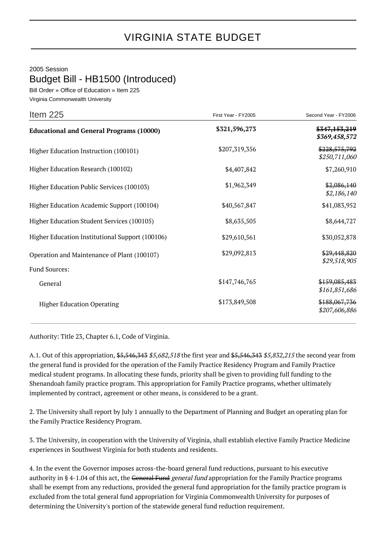## 2005 Session

Budget Bill - HB1500 (Introduced)

Bill Order » Office of Education » Item 225 Virginia Commonwealth University

| Item $225$                                      | First Year - FY2005 | Second Year - FY2006           |
|-------------------------------------------------|---------------------|--------------------------------|
| <b>Educational and General Programs (10000)</b> | \$321,596,273       | \$347,153,219<br>\$369,458,572 |
| Higher Education Instruction (100101)           | \$207,319,356       | \$228,575,792<br>\$250,711,060 |
| Higher Education Research (100102)              | \$4,407,842         | \$7,260,910                    |
| Higher Education Public Services (100103)       | \$1,962,349         | \$2,086,140<br>\$2,186,140     |
| Higher Education Academic Support (100104)      | \$40,567,847        | \$41,083,952                   |
| Higher Education Student Services (100105)      | \$8,635,505         | \$8,644,727                    |
| Higher Education Institutional Support (100106) | \$29,610,561        | \$30,052,878                   |
| Operation and Maintenance of Plant (100107)     | \$29,092,813        | \$29,448,820<br>\$29,518,905   |
| Fund Sources:                                   |                     |                                |
| General                                         | \$147,746,765       | \$159,085,483<br>\$161,851,686 |
| <b>Higher Education Operating</b>               | \$173,849,508       | \$188,067,736<br>\$207,606,886 |

Authority: Title 23, Chapter 6.1, Code of Virginia.

A.1. Out of this appropriation, \$5,546,343 \$5,682,518 the first year and \$5,546,343 \$5,832,215 the second year from the general fund is provided for the operation of the Family Practice Residency Program and Family Practice medical student programs. In allocating these funds, priority shall be given to providing full funding to the Shenandoah family practice program. This appropriation for Family Practice programs, whether ultimately implemented by contract, agreement or other means, is considered to be a grant.

2. The University shall report by July 1 annually to the Department of Planning and Budget an operating plan for the Family Practice Residency Program.

3. The University, in cooperation with the University of Virginia, shall establish elective Family Practice Medicine experiences in Southwest Virginia for both students and residents.

4. In the event the Governor imposes across-the-board general fund reductions, pursuant to his executive authority in § 4-1.04 of this act, the General Fund general fund appropriation for the Family Practice programs shall be exempt from any reductions, provided the general fund appropriation for the family practice program is excluded from the total general fund appropriation for Virginia Commonwealth University for purposes of determining the University's portion of the statewide general fund reduction requirement.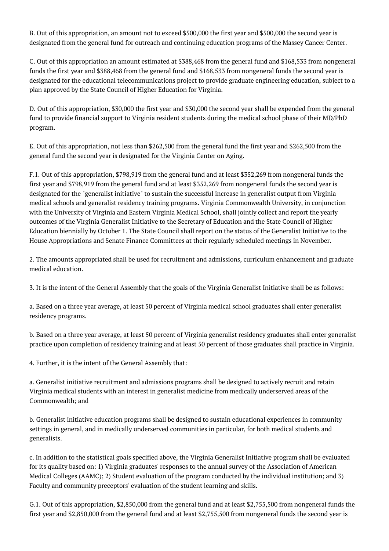B. Out of this appropriation, an amount not to exceed \$500,000 the first year and \$500,000 the second year is designated from the general fund for outreach and continuing education programs of the Massey Cancer Center.

C. Out of this appropriation an amount estimated at \$388,468 from the general fund and \$168,533 from nongeneral funds the first year and \$388,468 from the general fund and \$168,533 from nongeneral funds the second year is designated for the educational telecommunications project to provide graduate engineering education, subject to a plan approved by the State Council of Higher Education for Virginia.

D. Out of this appropriation, \$30,000 the first year and \$30,000 the second year shall be expended from the general fund to provide financial support to Virginia resident students during the medical school phase of their MD/PhD program.

E. Out of this appropriation, not less than \$262,500 from the general fund the first year and \$262,500 from the general fund the second year is designated for the Virginia Center on Aging.

F.1. Out of this appropriation, \$798,919 from the general fund and at least \$352,269 from nongeneral funds the first year and \$798,919 from the general fund and at least \$352,269 from nongeneral funds the second year is designated for the "generalist initiative" to sustain the successful increase in generalist output from Virginia medical schools and generalist residency training programs. Virginia Commonwealth University, in conjunction with the University of Virginia and Eastern Virginia Medical School, shall jointly collect and report the yearly outcomes of the Virginia Generalist Initiative to the Secretary of Education and the State Council of Higher Education biennially by October 1. The State Council shall report on the status of the Generalist Initiative to the House Appropriations and Senate Finance Committees at their regularly scheduled meetings in November.

2. The amounts appropriated shall be used for recruitment and admissions, curriculum enhancement and graduate medical education.

3. It is the intent of the General Assembly that the goals of the Virginia Generalist Initiative shall be as follows:

a. Based on a three year average, at least 50 percent of Virginia medical school graduates shall enter generalist residency programs.

b. Based on a three year average, at least 50 percent of Virginia generalist residency graduates shall enter generalist practice upon completion of residency training and at least 50 percent of those graduates shall practice in Virginia.

4. Further, it is the intent of the General Assembly that:

a. Generalist initiative recruitment and admissions programs shall be designed to actively recruit and retain Virginia medical students with an interest in generalist medicine from medically underserved areas of the Commonwealth; and

b. Generalist initiative education programs shall be designed to sustain educational experiences in community settings in general, and in medically underserved communities in particular, for both medical students and generalists.

c. In addition to the statistical goals specified above, the Virginia Generalist Initiative program shall be evaluated for its quality based on: 1) Virginia graduates' responses to the annual survey of the Association of American Medical Colleges (AAMC); 2) Student evaluation of the program conducted by the individual institution; and 3) Faculty and community preceptors' evaluation of the student learning and skills.

G.1. Out of this appropriation, \$2,850,000 from the general fund and at least \$2,755,500 from nongeneral funds the first year and \$2,850,000 from the general fund and at least \$2,755,500 from nongeneral funds the second year is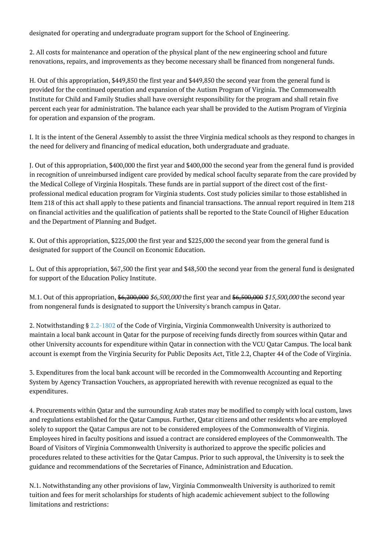designated for operating and undergraduate program support for the School of Engineering.

2. All costs for maintenance and operation of the physical plant of the new engineering school and future renovations, repairs, and improvements as they become necessary shall be financed from nongeneral funds.

H. Out of this appropriation, \$449,850 the first year and \$449,850 the second year from the general fund is provided for the continued operation and expansion of the Autism Program of Virginia. The Commonwealth Institute for Child and Family Studies shall have oversight responsibility for the program and shall retain five percent each year for administration. The balance each year shall be provided to the Autism Program of Virginia for operation and expansion of the program.

I. It is the intent of the General Assembly to assist the three Virginia medical schools as they respond to changes in the need for delivery and financing of medical education, both undergraduate and graduate.

J. Out of this appropriation, \$400,000 the first year and \$400,000 the second year from the general fund is provided in recognition of unreimbursed indigent care provided by medical school faculty separate from the care provided by the Medical College of Virginia Hospitals. These funds are in partial support of the direct cost of the firstprofessional medical education program for Virginia students. Cost study policies similar to those established in Item 218 of this act shall apply to these patients and financial transactions. The annual report required in Item 218 on financial activities and the qualification of patients shall be reported to the State Council of Higher Education and the Department of Planning and Budget.

K. Out of this appropriation, \$225,000 the first year and \$225,000 the second year from the general fund is designated for support of the Council on Economic Education.

L. Out of this appropriation, \$67,500 the first year and \$48,500 the second year from the general fund is designated for support of the Education Policy Institute.

M.1. Out of this appropriation,  $\frac{6,200,000}{6,500,000}$  the first year and  $\frac{6,500,000}{6,500,000}$  the second year from nongeneral funds is designated to support the University's branch campus in Qatar.

2. Notwithstanding § [2.2-1802](http://law.lis.virginia.gov/vacode/2.2-1802/) of the Code of Virginia, Virginia Commonwealth University is authorized to maintain a local bank account in Qatar for the purpose of receiving funds directly from sources within Qatar and other University accounts for expenditure within Qatar in connection with the VCU Qatar Campus. The local bank account is exempt from the Virginia Security for Public Deposits Act, Title 2.2, Chapter 44 of the Code of Virginia.

3. Expenditures from the local bank account will be recorded in the Commonwealth Accounting and Reporting System by Agency Transaction Vouchers, as appropriated herewith with revenue recognized as equal to the expenditures.

4. Procurements within Qatar and the surrounding Arab states may be modified to comply with local custom, laws and regulations established for the Qatar Campus. Further, Qatar citizens and other residents who are employed solely to support the Qatar Campus are not to be considered employees of the Commonwealth of Virginia. Employees hired in faculty positions and issued a contract are considered employees of the Commonwealth. The Board of Visitors of Virginia Commonwealth University is authorized to approve the specific policies and procedures related to these activities for the Qatar Campus. Prior to such approval, the University is to seek the guidance and recommendations of the Secretaries of Finance, Administration and Education.

N.1. Notwithstanding any other provisions of law, Virginia Commonwealth University is authorized to remit tuition and fees for merit scholarships for students of high academic achievement subject to the following limitations and restrictions: